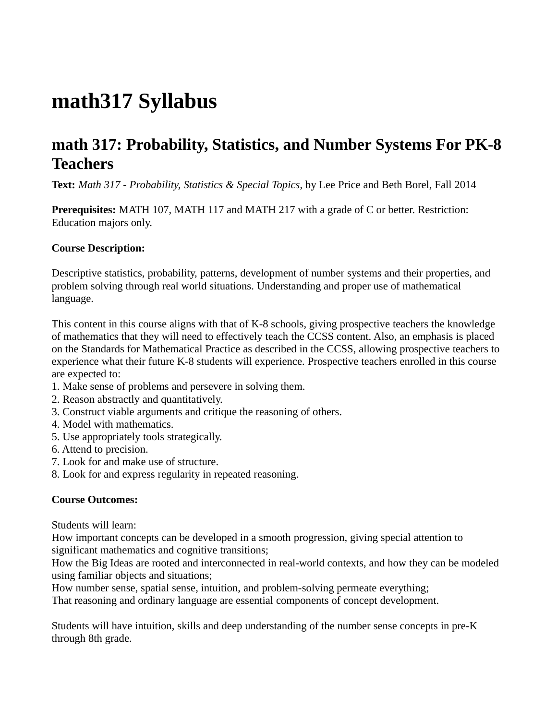# **math317 Syllabus**

# **math 317: Probability, Statistics, and Number Systems For PK-8 Teachers**

**Text:** *Math 317 - Probability, Statistics & Special Topics*, by Lee Price and Beth Borel, Fall 2014

**Prerequisites:** MATH 107, MATH 117 and MATH 217 with a grade of C or better. Restriction: Education majors only.

### **Course Description:**

Descriptive statistics, probability, patterns, development of number systems and their properties, and problem solving through real world situations. Understanding and proper use of mathematical language.

This content in this course aligns with that of K-8 schools, giving prospective teachers the knowledge of mathematics that they will need to effectively teach the CCSS content. Also, an emphasis is placed on the Standards for Mathematical Practice as described in the CCSS, allowing prospective teachers to experience what their future K-8 students will experience. Prospective teachers enrolled in this course are expected to:

- 1. Make sense of problems and persevere in solving them.
- 2. Reason abstractly and quantitatively.
- 3. Construct viable arguments and critique the reasoning of others.
- 4. Model with mathematics.
- 5. Use appropriately tools strategically.
- 6. Attend to precision.
- 7. Look for and make use of structure.
- 8. Look for and express regularity in repeated reasoning.

## **Course Outcomes:**

Students will learn:

How important concepts can be developed in a smooth progression, giving special attention to significant mathematics and cognitive transitions;

How the Big Ideas are rooted and interconnected in real-world contexts, and how they can be modeled using familiar objects and situations;

How number sense, spatial sense, intuition, and problem-solving permeate everything; That reasoning and ordinary language are essential components of concept development.

Students will have intuition, skills and deep understanding of the number sense concepts in pre-K through 8th grade.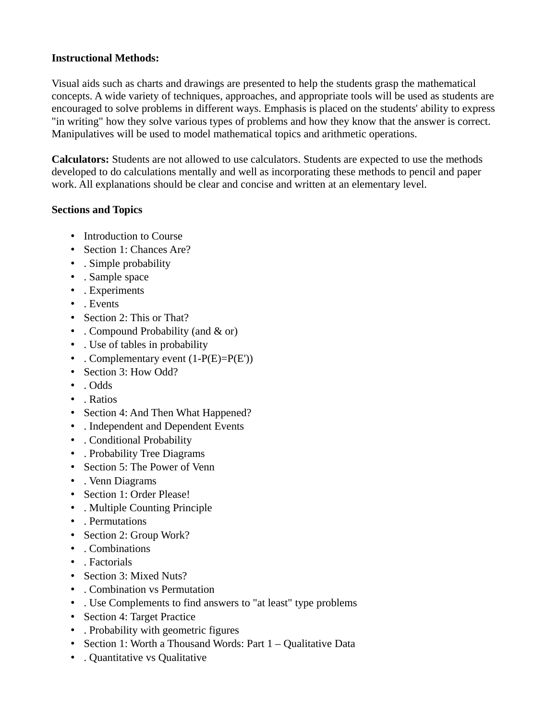#### **Instructional Methods:**

Visual aids such as charts and drawings are presented to help the students grasp the mathematical concepts. A wide variety of techniques, approaches, and appropriate tools will be used as students are encouraged to solve problems in different ways. Emphasis is placed on the students' ability to express "in writing" how they solve various types of problems and how they know that the answer is correct. Manipulatives will be used to model mathematical topics and arithmetic operations.

**Calculators:** Students are not allowed to use calculators. Students are expected to use the methods developed to do calculations mentally and well as incorporating these methods to pencil and paper work. All explanations should be clear and concise and written at an elementary level.

#### **Sections and Topics**

- Introduction to Course
- Section 1: Chances Are?
- . Simple probability
- . Sample space
- . Experiments
- . Events
- Section 2: This or That?
- . Compound Probability (and & or)
- . Use of tables in probability
- . Complementary event  $(1-P(E)=P(E'))$
- Section 3: How Odd?
- . Odds
- . Ratios
- Section 4: And Then What Happened?
- . Independent and Dependent Events
- . Conditional Probability
- . Probability Tree Diagrams
- Section 5: The Power of Venn
- . Venn Diagrams
- Section 1: Order Please!
- . Multiple Counting Principle
- . Permutations
- Section 2: Group Work?
- . Combinations
- . Factorials
- Section 3: Mixed Nuts?
- . Combination vs Permutation
- . Use Complements to find answers to "at least" type problems
- Section 4: Target Practice
- . Probability with geometric figures
- Section 1: Worth a Thousand Words: Part 1 Qualitative Data
- . Quantitative vs Qualitative